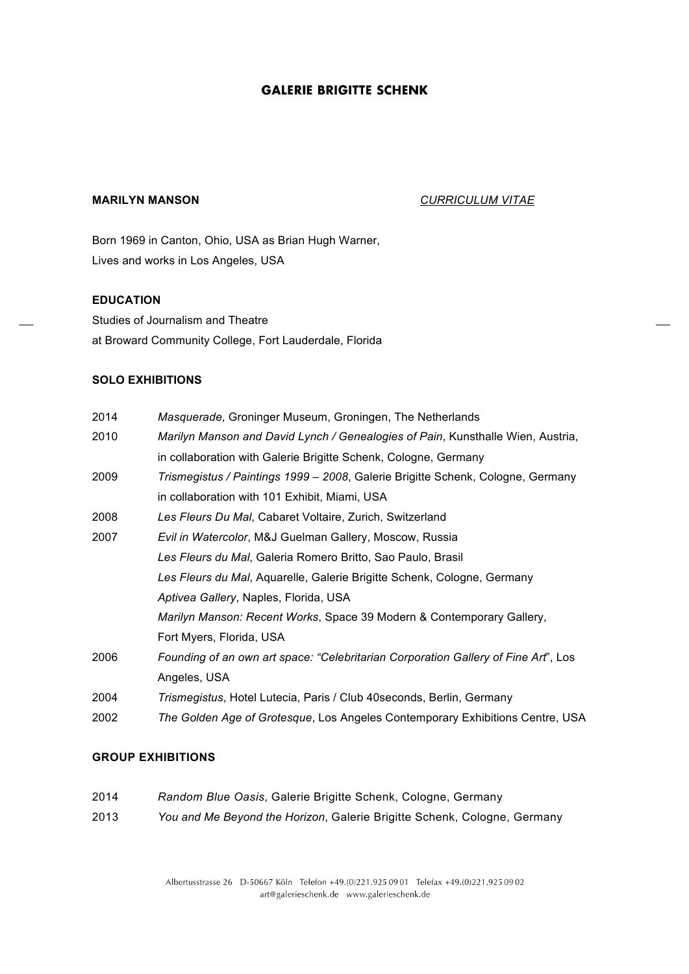# **GALERIE BRIGITTE SCHENK**

## **MARILYN MANSON** *CURRICULUM VITAE*

Born 1969 in Canton, Ohio, USA as Brian Hugh Warner, Lives and works in Los Angeles, USA

## **EDUCATION**

Studies of Journalism and Theatre at Broward Community College, Fort Lauderdale, Florida

#### **SOLO EXHIBITIONS**

| 2014 | Masquerade, Groninger Museum, Groningen, The Netherlands                           |
|------|------------------------------------------------------------------------------------|
| 2010 | Marilyn Manson and David Lynch / Genealogies of Pain, Kunsthalle Wien, Austria,    |
|      | in collaboration with Galerie Brigitte Schenk, Cologne, Germany                    |
| 2009 | Trismegistus / Paintings 1999 - 2008, Galerie Brigitte Schenk, Cologne, Germany    |
|      | in collaboration with 101 Exhibit, Miami, USA                                      |
| 2008 | Les Fleurs Du Mal, Cabaret Voltaire, Zurich, Switzerland                           |
| 2007 | Evil in Watercolor, M&J Guelman Gallery, Moscow, Russia                            |
|      | Les Fleurs du Mal, Galeria Romero Britto, Sao Paulo, Brasil                        |
|      | Les Fleurs du Mal, Aquarelle, Galerie Brigitte Schenk, Cologne, Germany            |
|      | Aptivea Gallery, Naples, Florida, USA                                              |
|      | Marilyn Manson: Recent Works, Space 39 Modern & Contemporary Gallery,              |
|      | Fort Myers, Florida, USA                                                           |
| 2006 | Founding of an own art space: "Celebritarian Corporation Gallery of Fine Art", Los |
|      | Angeles, USA                                                                       |
| 2004 | Trismegistus, Hotel Lutecia, Paris / Club 40 seconds, Berlin, Germany              |
| 2002 | The Golden Age of Grotesque, Los Angeles Contemporary Exhibitions Centre, USA      |

## **GROUP EXHIBITIONS**

| 2014 | Random Blue Oasis, Galerie Brigitte Schenk, Cologne, Germany             |
|------|--------------------------------------------------------------------------|
| 2013 | You and Me Beyond the Horizon, Galerie Brigitte Schenk, Cologne, Germany |